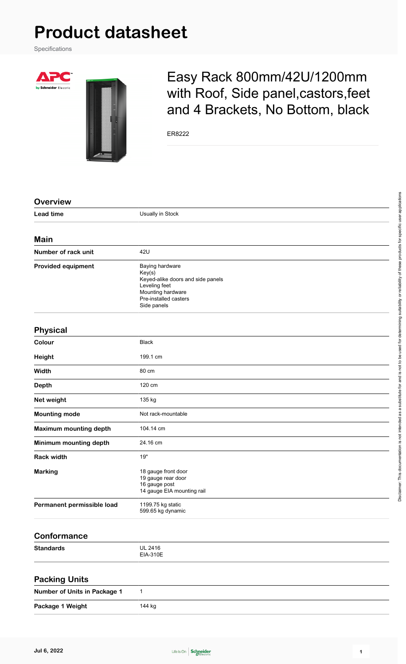## **Product datasheet**

Specifications

A



## Easy Rack 800mm/42U/1200mm with Roof, Side panel,castors,feet and 4 Brackets, No Bottom, black

ER8222

| <b>Overview</b>              |                                                                                                                                              |
|------------------------------|----------------------------------------------------------------------------------------------------------------------------------------------|
| <b>Lead time</b>             | Usually in Stock                                                                                                                             |
| <b>Main</b>                  |                                                                                                                                              |
| Number of rack unit          | 42U                                                                                                                                          |
| <b>Provided equipment</b>    | Baying hardware<br>Key(s)<br>Keyed-alike doors and side panels<br>Leveling feet<br>Mounting hardware<br>Pre-installed casters<br>Side panels |
| <b>Physical</b>              |                                                                                                                                              |
| Colour                       | <b>Black</b>                                                                                                                                 |
| <b>Height</b>                | 199.1 cm                                                                                                                                     |
| Width                        | 80 cm                                                                                                                                        |
| <b>Depth</b>                 | 120 cm                                                                                                                                       |
| Net weight                   | 135 kg                                                                                                                                       |
| <b>Mounting mode</b>         | Not rack-mountable                                                                                                                           |
| Maximum mounting depth       | 104.14 cm                                                                                                                                    |
| Minimum mounting depth       | 24.16 cm                                                                                                                                     |
| <b>Rack width</b>            | 19"                                                                                                                                          |
| <b>Marking</b>               | 18 gauge front door<br>19 gauge rear door<br>16 gauge post<br>14 gauge EIA mounting rail                                                     |
| Permanent permissible load   | 1199.75 kg static<br>599.65 kg dynamic                                                                                                       |
| <b>Conformance</b>           |                                                                                                                                              |
| <b>Standards</b>             | <b>UL 2416</b><br>EIA-310E                                                                                                                   |
| <b>Packing Units</b>         |                                                                                                                                              |
| Number of Units in Package 1 | $\mathbf{1}$                                                                                                                                 |
| Package 1 Weight             | 144 kg                                                                                                                                       |